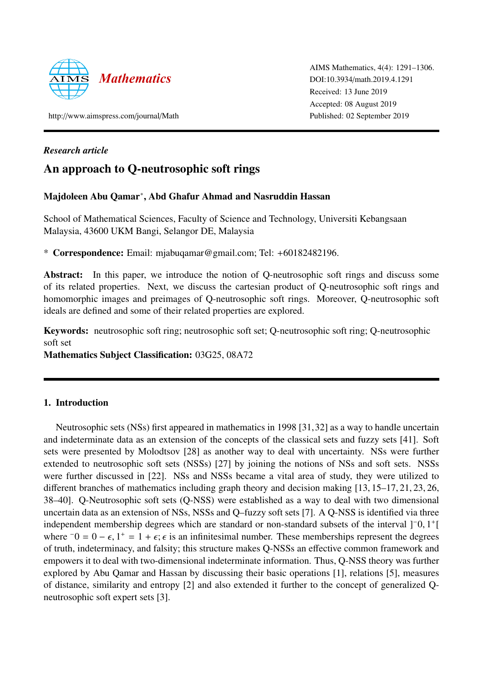

AIMS Mathematics, 4(4): 1291–1306. DOI:10.3934/[math.2019.4.1291](http://dx.doi.org/10.3934/math.2019.4.1291) Received: 13 June 2019 Accepted: 08 August 2019 Published: 02 September 2019

http://[www.aimspress.com](http://www.aimspress.com/journal/Math)/journal/Math

## *Research article*

# An approach to Q-neutrosophic soft rings

## Majdoleen Abu Qamar<sup>∗</sup> , Abd Ghafur Ahmad and Nasruddin Hassan

School of Mathematical Sciences, Faculty of Science and Technology, Universiti Kebangsaan Malaysia, 43600 UKM Bangi, Selangor DE, Malaysia

\* Correspondence: Email: mjabuqamar@gmail.com; Tel: +60182482196.

Abstract: In this paper, we introduce the notion of Q-neutrosophic soft rings and discuss some of its related properties. Next, we discuss the cartesian product of Q-neutrosophic soft rings and homomorphic images and preimages of Q-neutrosophic soft rings. Moreover, Q-neutrosophic soft ideals are defined and some of their related properties are explored.

Keywords: neutrosophic soft ring; neutrosophic soft set; Q-neutrosophic soft ring; Q-neutrosophic soft set

Mathematics Subject Classification: 03G25, 08A72

## 1. Introduction

Neutrosophic sets (NSs) first appeared in mathematics in 1998 [\[31,](#page-14-0)[32\]](#page-14-1) as a way to handle uncertain and indeterminate data as an extension of the concepts of the classical sets and fuzzy sets [\[41\]](#page-15-0). Soft sets were presented by Molodtsov [\[28\]](#page-14-2) as another way to deal with uncertainty. NSs were further extended to neutrosophic soft sets (NSSs) [\[27\]](#page-14-3) by joining the notions of NSs and soft sets. NSSs were further discussed in [\[22\]](#page-14-4). NSs and NSSs became a vital area of study, they were utilized to different branches of mathematics including graph theory and decision making [\[13,](#page-13-0) [15](#page-13-1)[–17,](#page-14-5) [21,](#page-14-6) [23,](#page-14-7) [26,](#page-14-8) [38–](#page-15-1)[40\]](#page-15-2). Q-Neutrosophic soft sets (Q-NSS) were established as a way to deal with two dimensional uncertain data as an extension of NSs, NSSs and Q–fuzzy soft sets [\[7\]](#page-13-2). A Q-NSS is identified via three independent membership degrees which are standard or non-standard subsets of the interval  $]$ <sup>-</sup>0, 1<sup>+</sup>[<br>where  $\overline{=}0 = 0 - \epsilon$  1<sup>+</sup>  $\overline{=}$  1 +  $\epsilon$ ;  $\epsilon$  is an infinitesimal number. These memberships represent the degrees where  $\bar{0} = 0 - \epsilon$ ,  $1^+ = 1 + \epsilon$ ;  $\epsilon$  is an infinitesimal number. These memberships represent the degrees of truth indeterminegy and falsity; this structure makes O NSSs an effective common framework and of truth, indeterminacy, and falsity; this structure makes Q-NSSs an effective common framework and empowers it to deal with two-dimensional indeterminate information. Thus, Q-NSS theory was further explored by Abu Qamar and Hassan by discussing their basic operations [\[1\]](#page-13-3), relations [\[5\]](#page-13-4), measures of distance, similarity and entropy [\[2\]](#page-13-5) and also extended it further to the concept of generalized Qneutrosophic soft expert sets [\[3\]](#page-13-6).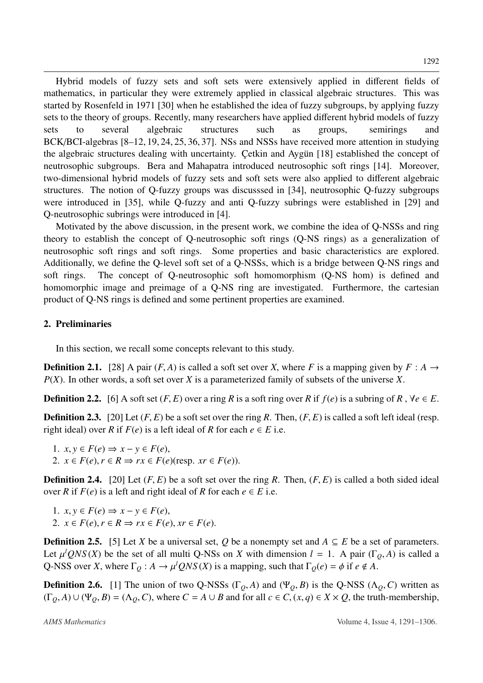Hybrid models of fuzzy sets and soft sets were extensively applied in different fields of mathematics, in particular they were extremely applied in classical algebraic structures. This was started by Rosenfeld in 1971 [\[30\]](#page-14-9) when he established the idea of fuzzy subgroups, by applying fuzzy sets to the theory of groups. Recently, many researchers have applied different hybrid models of fuzzy sets to several algebraic structures such as groups, semirings and BCK/BCI-algebras [\[8–](#page-13-7)[12,](#page-13-8) [19,](#page-14-10) [24,](#page-14-11) [25,](#page-14-12) [36,](#page-14-13) [37\]](#page-15-3). NSs and NSSs have received more attention in studying the algebraic structures dealing with uncertainty. Cetkin and Aygun [[18\]](#page-14-14) established the concept of neutrosophic subgroups. Bera and Mahapatra introduced neutrosophic soft rings [\[14\]](#page-13-9). Moreover, two-dimensional hybrid models of fuzzy sets and soft sets were also applied to different algebraic structures. The notion of Q-fuzzy groups was discusssed in [\[34\]](#page-14-15), neutrosophic Q-fuzzy subgroups were introduced in [\[35\]](#page-14-16), while Q-fuzzy and anti Q-fuzzy subrings were established in [\[29\]](#page-14-17) and Q-neutrosophic subrings were introduced in [\[4\]](#page-13-10).

Motivated by the above discussion, in the present work, we combine the idea of Q-NSSs and ring theory to establish the concept of Q-neutrosophic soft rings (Q-NS rings) as a generalization of neutrosophic soft rings and soft rings. Some properties and basic characteristics are explored. Additionally, we define the Q-level soft set of a Q-NSSs, which is a bridge between Q-NS rings and soft rings. The concept of Q-neutrosophic soft homomorphism (Q-NS hom) is defined and homomorphic image and preimage of a Q-NS ring are investigated. Furthermore, the cartesian product of Q-NS rings is defined and some pertinent properties are examined.

## 2. Preliminaries

In this section, we recall some concepts relevant to this study.

**Definition 2.1.** [\[28\]](#page-14-2) A pair  $(F, A)$  is called a soft set over *X*, where *F* is a mapping given by  $F : A \rightarrow$ *P*(*X*). In other words, a soft set over *X* is a parameterized family of subsets of the universe *X*.

**Definition 2.2.** [\[6\]](#page-13-11) A soft set  $(F, E)$  over a ring R is a soft ring over R if  $f(e)$  is a subring of R,  $\forall e \in E$ .

**Definition 2.3.** [\[20\]](#page-14-18) Let  $(F, E)$  be a soft set over the ring R. Then,  $(F, E)$  is called a soft left ideal (resp. right ideal) over *R* if  $F(e)$  is a left ideal of *R* for each  $e \in E$  i.e.

1.  $x, y \in F(e)$  ⇒  $x - y \in F(e)$ , 2.  $x \in F(e), r \in R \Rightarrow rx \in F(e)(resp.$   $xr \in F(e)).$ 

**Definition 2.4.** [\[20\]](#page-14-18) Let  $(F, E)$  be a soft set over the ring R. Then,  $(F, E)$  is called a both sided ideal over *R* if  $F(e)$  is a left and right ideal of *R* for each  $e \in E$  i.e.

1.  $x, y \in F(e) \Rightarrow x - y \in F(e)$ , 2.  $x \in F(e), r \in R \Rightarrow rx \in F(e), xr \in F(e).$ 

**Definition 2.5.** [\[5\]](#page-13-4) Let *X* be a universal set, *Q* be a nonempty set and  $A \subseteq E$  be a set of parameters. Let  $\mu^l QNS(X)$  be the set of all multi Q-NSs on *X* with dimension  $l = 1$ . A pair (Γ<sub>Q</sub>, *A*) is called a<br>O NSS over *X*, where  $\Gamma_{\lambda}: A \to \mu^l QNS(Y)$  is a mapping, such that  $\Gamma_{\lambda}(q) = \phi$  if  $q \notin A$ Q-NSS over *X*, where  $\Gamma_Q : A \to \mu^l QNS(X)$  is a mapping, such that  $\Gamma_Q(e) = \phi$  if  $e \notin A$ .

**Definition 2.6.** [\[1\]](#page-13-3) The union of two Q-NSSs (Γ<sub>*Q*</sub>, *A*) and (Ψ<sub>*Q*</sub>, *B*) is the Q-NSS ( $\Lambda$ <sub>*Q</sub>*, *C*) written as</sub>  $(\Gamma_Q, A) \cup (\Psi_Q, B) = (\Lambda_Q, C)$ , where  $C = A \cup B$  and for all  $c \in C$ ,  $(x, q) \in X \times Q$ , the truth-membership,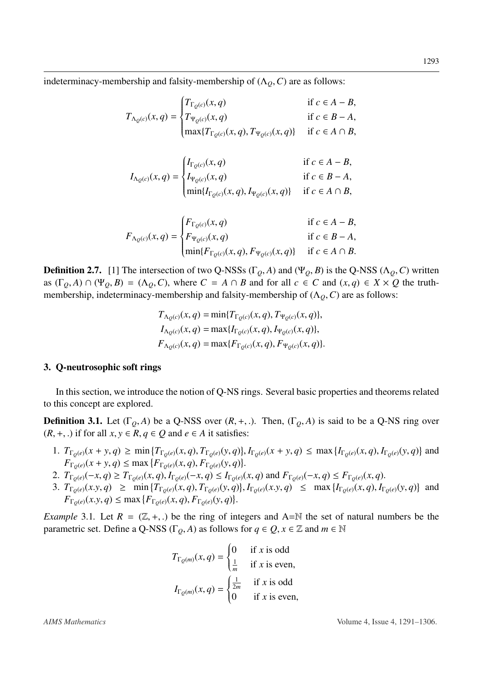indeterminacy-membership and falsity-membership of  $(\Lambda_Q, C)$  are as follows:

$$
T_{\Lambda_Q(c)}(x,q) = \begin{cases} T_{\Gamma_Q(c)}(x,q) & \text{if } c \in A - B, \\ T_{\Psi_Q(c)}(x,q) & \text{if } c \in B - A, \\ \max\{T_{\Gamma_Q(c)}(x,q), T_{\Psi_Q(c)}(x,q)\} & \text{if } c \in A \cap B, \end{cases}
$$

$$
I_{\Lambda_Q(c)}(x,q) = \begin{cases} I_{\Gamma_Q(c)}(x,q) & \text{if } c \in A - B, \\ I_{\Psi_Q(c)}(x,q) & \text{if } c \in B - A, \\ \min\{I_{\Gamma_Q(c)}(x,q), I_{\Psi_Q(c)}(x,q)\} & \text{if } c \in A \cap B, \end{cases}
$$

$$
F_{\Lambda_Q(c)}(x,q) = \begin{cases} F_{\Gamma_Q(c)}(x,q) & \text{if } c \in A - B, \\ F_{\Psi_Q(c)}(x,q) & \text{if } c \in B - A, \\ \min\{F_{\Gamma_Q(c)}(x,q), F_{\Psi_Q(c)}(x,q)\} & \text{if } c \in A \cap B. \end{cases}
$$

**Definition 2.7.** [\[1\]](#page-13-3) The intersection of two Q-NSSs (Γ<sub>*Q*</sub>, *A*) and (Ψ<sub>*Q*</sub>, *B*) is the Q-NSS (Λ<sub>*Q*</sub>, *C*) written as  $(\Gamma_0, A) \cap (\Psi_0, B) = (\Lambda_0, C)$ , where  $C = A \cap B$  and for all  $c \in C$  and  $(x, q) \in X \times Q$  the truthmembership, indeterminacy-membership and falsity-membership of  $(\Lambda<sub>0</sub>, C)$  are as follows:

$$
T_{\Lambda_Q(c)}(x,q) = \min\{T_{\Gamma_Q(c)}(x,q), T_{\Psi_Q(c)}(x,q)\},
$$
  
\n
$$
I_{\Lambda_Q(c)}(x,q) = \max\{I_{\Gamma_Q(c)}(x,q), I_{\Psi_Q(c)}(x,q)\},
$$
  
\n
$$
F_{\Lambda_Q(c)}(x,q) = \max\{F_{\Gamma_Q(c)}(x,q), F_{\Psi_Q(c)}(x,q)\}.
$$

## 3. Q-neutrosophic soft rings

In this section, we introduce the notion of Q-NS rings. Several basic properties and theorems related to this concept are explored.

<span id="page-2-0"></span>**Definition 3.1.** Let  $(\Gamma_0, A)$  be a Q-NSS over  $(R, +, .)$ . Then,  $(\Gamma_0, A)$  is said to be a Q-NS ring over  $(R, +, .)$  if for all *x*, *y* ∈ *R*, *q* ∈ *Q* and *e* ∈ *A* it satisfies:

- 1.  $T_{\Gamma_Q(e)}(x+y,q) \ge \min \{ T_{\Gamma_Q(e)}(x,q), T_{\Gamma_Q(e)}(y,q) \}, I_{\Gamma_Q(e)}(x+y,q) \le \max \{ I_{\Gamma_Q(e)}(x,q), I_{\Gamma_Q(e)}(y,q) \}$  and<br> $F_{\Gamma_Q(e)}(x+y,q) \le \max \{ F_{\Gamma_Q(e)}(x,q), F_{\Gamma_Q(e)}(y,q) \}$  $F_{\Gamma_Q(e)}(x+y,q) \le \max \{ F_{\Gamma_Q(e)}(x,q), F_{\Gamma_Q(e)}(y,q) \}$ <br> *T*<sub>*Z*</sub> (*x*)(*z*) *Z*<sub>*Z*</sub> (*x*)(*x*)(*z*)(*z*)(*z*)(*z*)(*z*))
- 2.  $T_{\Gamma_Q(e)}(-x, q) \geq T_{\Gamma_Q(e)}(x, q), I_{\Gamma_Q(e)}(-x, q) \leq I_{\Gamma_Q(e)}(x, q)$  and  $F_{\Gamma_Q(e)}(-x, q) \leq F_{\Gamma_Q(e)}(x, q)$ .<br>
3.  $T_{\Gamma_Q(e)}(x, y, q) > \min_{\Gamma_Q(e)}(T_{\Gamma_Q(e)}(x, q), T_{\Gamma_Q(e)}(y, q))$ .  $I_{\Gamma_Q(e)}(x, q) > \min_{\Gamma_Q(e)}(T_{\Gamma_Q(e)}(x, q), T_{\Gamma_Q(e)}(y, q))$ .
- 3.  $T_{\Gamma_Q(e)}(x,y,q) \ge \min \{ T_{\Gamma_Q(e)}(x,q), T_{\Gamma_Q(e)}(y,q) \}, I_{\Gamma_Q(e)}(x,y,q) \le \max \{ I_{\Gamma_Q(e)}(x,q), I_{\Gamma_Q(e)}(y,q) \}$  and  $F_{\Gamma_Q(e)}(x,y,q) \le \max \{ F_{\Gamma_Q(e)}(x,q), F_{\Gamma_Q(e)}(y,q) \}$  $F_{\Gamma_Q(e)}(x, y, q) \le \max \{ F_{\Gamma_Q(e)}(x, q), F_{\Gamma_Q(e)}(y, q) \}$

*Example* 3.1. Let  $R = (\mathbb{Z}, +,.)$  be the ring of integers and A=N the set of natural numbers be the parametric set. Define a Q-NSS ( $\Gamma$ <sub>*Q</sub>*, *A*) as follows for  $q \in Q$ ,  $x \in \mathbb{Z}$  and  $m \in \mathbb{N}$ </sub>

$$
T_{\Gamma_Q(m)}(x,q) = \begin{cases} 0 & \text{if } x \text{ is odd} \\ \frac{1}{m} & \text{if } x \text{ is even,} \end{cases}
$$

$$
I_{\Gamma_Q(m)}(x,q) = \begin{cases} \frac{1}{2m} & \text{if } x \text{ is odd} \\ 0 & \text{if } x \text{ is even,} \end{cases}
$$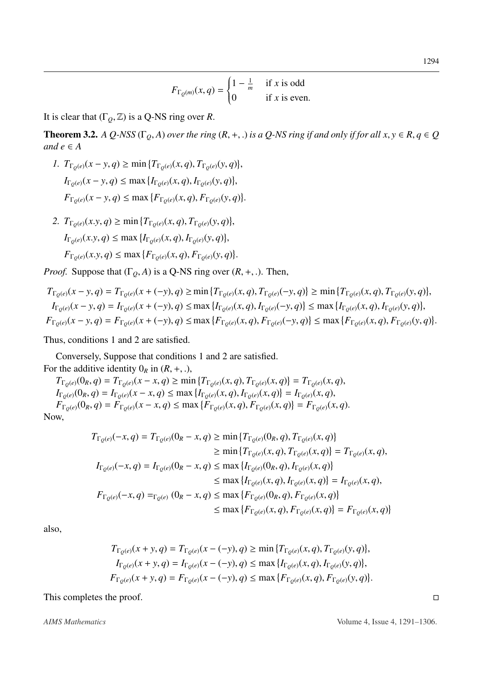$$
F_{\Gamma_Q(m)}(x,q) = \begin{cases} 1 - \frac{1}{m} & \text{if } x \text{ is odd} \\ 0 & \text{if } x \text{ is even.} \end{cases}
$$

It is clear that  $(\Gamma_0, \mathbb{Z})$  is a Q-NS ring over *R*.

**Theorem 3.2.** *A Q-NSS* ( $\Gamma$ <sub>Q</sub>, *A*) *over the ring* ( $R$ , +, .) *is a Q-NS ring if and only if for all*  $x, y \in R$ *,*  $q \in Q$ *and*  $e \in A$ 

- *1.*  $T_{\Gamma_Q(e)}(x y, q) \ge \min \{ T_{\Gamma_Q(e)}(x, q), T_{\Gamma_Q(e)}(y, q) \}$  $\overline{a}$  $I_{\Gamma_Q(e)}(x - y, q) \le \max\{I_{\Gamma_Q(e)}(x, q), I_{\Gamma_Q(e)}(y, q)\}$  $\overline{a}$  $F_{\Gamma_Q(e)}(x - y, q) \le \max \{ F_{\Gamma_Q(e)}(x, q), F_{\Gamma_Q(e)}(y, q) \}$
- *2.*  $T_{\Gamma_Q(e)}(x,y,q) \ge \min \{ T_{\Gamma_Q(e)}(x,q), T_{\Gamma_Q(e)}(y,q) \}$ ,  $I_{\Gamma_Q(e)}(x,y,q) \le \max\{I_{\Gamma_Q(e)}(x,q), I_{\Gamma_Q(e)}(y,q)\}$ ,  $F_{\Gamma_Q(e)}(x, y, q) \le \max \{ F_{\Gamma_Q(e)}(x, q), F_{\Gamma_Q(e)}(y, q) \}$

*Proof.* Suppose that  $(\Gamma_Q, A)$  is a Q-NS ring over  $(R, +, .)$ . Then,

$$
T_{\Gamma_Q(e)}(x - y, q) = T_{\Gamma_Q(e)}(x + (-y), q) \ge \min \{ T_{\Gamma_Q(e)}(x, q), T_{\Gamma_Q(e)}(-y, q) \} \ge \min \{ T_{\Gamma_Q(e)}(x, q), T_{\Gamma_Q(e)}(y, q) \},
$$
  
\n
$$
I_{\Gamma_Q(e)}(x - y, q) = I_{\Gamma_Q(e)}(x + (-y), q) \le \max \{ I_{\Gamma_Q(e)}(x, q), I_{\Gamma_Q(e)}(-y, q) \} \le \max \{ I_{\Gamma_Q(e)}(x, q), I_{\Gamma_Q(e)}(y, q) \},
$$
  
\n
$$
F_{\Gamma_Q(e)}(x - y, q) = F_{\Gamma_Q(e)}(x + (-y), q) \le \max \{ F_{\Gamma_Q(e)}(x, q), F_{\Gamma_Q(e)}(-y, q) \} \le \max \{ F_{\Gamma_Q(e)}(x, q), F_{\Gamma_Q(e)}(y, q) \}.
$$

Thus, conditions 1 and 2 are satisfied.

Conversely, Suppose that conditions 1 and 2 are satisfied. For the additive identity  $0_R$  in  $(R, +, \cdot)$ ,

 $T_{\Gamma_Q(e)}(0_R, q) = T_{\Gamma_Q(e)}(x - x, q) \ge \min \{ T_{\Gamma_Q(e)}(x, q), T_{\Gamma_Q(e)}(x, q) \} = T_{\Gamma_Q(e)}(x, q),$ <br>  $T_{\Gamma_Q(e)}(0, q) = T_{\Gamma_Q(e)}(x - x, q) \le \max \{ T_{\Gamma_Q(e)}(x, q), T_{\Gamma_Q(e)}(x, q) \} = T_{\Gamma_Q(e)}(x, q),$  $I_{\Gamma_Q(e)}(0_R, q) = I_{\Gamma_Q(e)}(x - x, q) \le \max \{ I_{\Gamma_Q(e)}(x, q), I_{\Gamma_Q(e)}(x, q) \} = I_{\Gamma_Q(e)}(x, q),$ <br> $I_{\Gamma_Q(e)}(0, q) = I_{\Gamma_Q(e)}(x - x, q) \le \max \{ I_{\Gamma_Q(e)}(x, q), I_{\Gamma_Q(e)}(x, q) \} = I_{\Gamma_Q(e)}(x, q),$  $F_{\Gamma_Q(e)}(0_R, q) = F_{\Gamma_Q(e)}(x - x, q) \le \max \{ F_{\Gamma_Q(e)}(x, q), F_{\Gamma_Q(e)}(x, q) \} = F_{\Gamma_Q(e)}(x, q).$ Now,

$$
T_{\Gamma_Q(e)}(-x, q) = T_{\Gamma_Q(e)}(0_R - x, q) \ge \min \{ T_{\Gamma_Q(e)}(0_R, q), T_{\Gamma_Q(e)}(x, q) \}
$$
  
\n
$$
\ge \min \{ T_{\Gamma_Q(e)}(x, q), T_{\Gamma_Q(e)}(x, q) \} = T_{\Gamma_Q(e)}(x, q),
$$
  
\n
$$
I_{\Gamma_Q(e)}(-x, q) = I_{\Gamma_Q(e)}(0_R - x, q) \le \max \{ I_{\Gamma_Q(e)}(0_R, q), I_{\Gamma_Q(e)}(x, q) \}
$$
  
\n
$$
\le \max \{ I_{\Gamma_Q(e)}(x, q), I_{\Gamma_Q(e)}(x, q) \} = I_{\Gamma_Q(e)}(x, q),
$$
  
\n
$$
F_{\Gamma_Q(e)}(-x, q) =_{\Gamma_Q(e)} (0_R - x, q) \le \max \{ F_{\Gamma_Q(e)}(0_R, q), F_{\Gamma_Q(e)}(x, q) \}
$$
  
\n
$$
\le \max \{ F_{\Gamma_Q(e)}(x, q), F_{\Gamma_Q(e)}(x, q) \} = F_{\Gamma_Q(e)}(x, q) \}
$$

also,

$$
T_{\Gamma_Q(e)}(x+y,q) = T_{\Gamma_Q(e)}(x - (-y), q) \ge \min \{ T_{\Gamma_Q(e)}(x,q), T_{\Gamma_Q(e)}(y,q) \},
$$
  
\n
$$
I_{\Gamma_Q(e)}(x+y,q) = I_{\Gamma_Q(e)}(x - (-y), q) \le \max \{ I_{\Gamma_Q(e)}(x,q), I_{\Gamma_Q(e)}(y,q) \},
$$
  
\n
$$
F_{\Gamma_Q(e)}(x+y,q) = F_{\Gamma_Q(e)}(x - (-y), q) \le \max \{ F_{\Gamma_Q(e)}(x,q), F_{\Gamma_Q(e)}(y,q) \}.
$$

This completes the proof.  $\Box$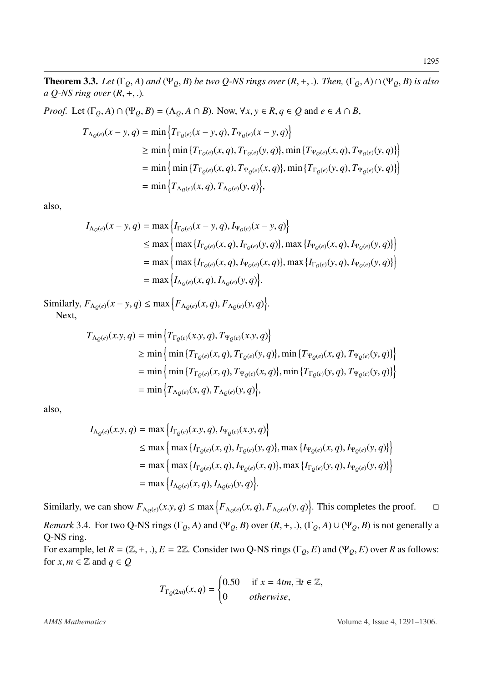<span id="page-4-0"></span>**Theorem 3.3.** Let  $(\Gamma_Q, A)$  and  $(\Psi_Q, B)$  be two Q-NS rings over  $(R, +, .)$ . Then,  $(\Gamma_Q, A) \cap (\Psi_Q, B)$  is also *a Q-NS ring over* (*R*, <sup>+</sup>, .)*.*

*Proof.* Let  $(\Gamma_0, A) \cap (\Psi_0, B) = (\Lambda_0, A \cap B)$ . Now,  $\forall x, y \in R, q \in Q$  and  $e \in A \cap B$ ,

$$
T_{\Lambda_Q(e)}(x - y, q) = \min \left\{ T_{\Gamma_Q(e)}(x - y, q), T_{\Psi_Q(e)}(x - y, q) \right\}
$$
  
\n
$$
\geq \min \left\{ \min \left\{ T_{\Gamma_Q(e)}(x, q), T_{\Gamma_Q(e)}(y, q) \right\}, \min \left\{ T_{\Psi_Q(e)}(x, q), T_{\Psi_Q(e)}(y, q) \right\} \right\}
$$
  
\n
$$
= \min \left\{ \min \left\{ T_{\Gamma_Q(e)}(x, q), T_{\Psi_Q(e)}(x, q) \right\}, \min \left\{ T_{\Gamma_Q(e)}(y, q), T_{\Psi_Q(e)}(y, q) \right\} \right\}
$$
  
\n
$$
= \min \left\{ T_{\Lambda_Q(e)}(x, q), T_{\Lambda_Q(e)}(y, q) \right\},
$$

also,

$$
I_{\Lambda_{Q}(e)}(x - y, q) = \max \Big\{ I_{\Gamma_{Q}(e)}(x - y, q), I_{\Psi_{Q}(e)}(x - y, q) \Big\}
$$
  
\n
$$
\leq \max \Big\{ \max \big\{ I_{\Gamma_{Q}(e)}(x, q), I_{\Gamma_{Q}(e)}(y, q) \big\}, \max \big\{ I_{\Psi_{Q}(e)}(x, q), I_{\Psi_{Q}(e)}(y, q) \big\} \Big\}
$$
  
\n
$$
= \max \Big\{ \max \big\{ I_{\Gamma_{Q}(e)}(x, q), I_{\Psi_{Q}(e)}(x, q) \big\}, \max \big\{ I_{\Gamma_{Q}(e)}(y, q), I_{\Psi_{Q}(e)}(y, q) \big\} \Big\}
$$
  
\n
$$
= \max \Big\{ I_{\Lambda_{Q}(e)}(x, q), I_{\Lambda_{Q}(e)}(y, q) \Big\}.
$$

Similarly,  $F_{\Lambda_Q(e)}(x - y, q) \le \max\left\{F_{\Lambda_Q(e)}(x, q), F_{\Lambda_Q(e)}(y, q)\right\}.$ Next,

$$
T_{\Lambda_Q(e)}(x,y,q) = \min \left\{ T_{\Gamma_Q(e)}(x,y,q), T_{\Psi_Q(e)}(x,y,q) \right\}
$$
  
\n
$$
\geq \min \left\{ \min \left\{ T_{\Gamma_Q(e)}(x,q), T_{\Gamma_Q(e)}(y,q) \right\}, \min \left\{ T_{\Psi_Q(e)}(x,q), T_{\Psi_Q(e)}(y,q) \right\} \right\}
$$
  
\n
$$
= \min \left\{ \min \left\{ T_{\Gamma_Q(e)}(x,q), T_{\Psi_Q(e)}(x,q) \right\}, \min \left\{ T_{\Gamma_Q(e)}(y,q), T_{\Psi_Q(e)}(y,q) \right\} \right\}
$$
  
\n
$$
= \min \left\{ T_{\Lambda_Q(e)}(x,q), T_{\Lambda_Q(e)}(y,q) \right\},
$$

also,

$$
I_{\Lambda_{Q}(e)}(x,y,q) = \max \Big\{ I_{\Gamma_{Q}(e)}(x,y,q), I_{\Psi_{Q}(e)}(x,y,q) \Big\}
$$
  
\n
$$
\leq \max \Big\{ \max \big\{ I_{\Gamma_{Q}(e)}(x,q), I_{\Gamma_{Q}(e)}(y,q) \big\}, \max \big\{ I_{\Psi_{Q}(e)}(x,q), I_{\Psi_{Q}(e)}(y,q) \big\} \Big\}
$$
  
\n
$$
= \max \Big\{ \max \big\{ I_{\Gamma_{Q}(e)}(x,q), I_{\Psi_{Q}(e)}(x,q) \big\}, \max \big\{ I_{\Gamma_{Q}(e)}(y,q), I_{\Psi_{Q}(e)}(y,q) \big\} \Big\}
$$
  
\n
$$
= \max \Big\{ I_{\Lambda_{Q}(e)}(x,q), I_{\Lambda_{Q}(e)}(y,q) \Big\}.
$$

Similarly, we can show  $F_{\Lambda_Q(e)}(x, y, q) \le \max\left\{F_{\Lambda_Q(e)}(x, q), F_{\Lambda_Q(e)}(y, q)\right\}$ . This completes the proof.  $\Box$ *Remark* 3.4. For two Q-NS rings ( $\Gamma_Q$ , *A*) and ( $\Psi_Q$ , *B*) over (*R*, +, .), ( $\Gamma_Q$ , *A*)  $\cup$  ( $\Psi_Q$ , *B*) is not generally a Q-NS ring. For example, let  $R = (\mathbb{Z}, +, .), E = 2\mathbb{Z}$ . Consider two Q-NS rings ( $\Gamma_O, E$ ) and ( $\Psi_O, E$ ) over  $R$  as follows: for  $x, m \in \mathbb{Z}$  and  $q \in Q$ 

$$
T_{\Gamma_{\mathcal{Q}}(2m)}(x,q) = \begin{cases} 0.50 & \text{if } x = 4tm, \exists t \in \mathbb{Z}, \\ 0 & \text{otherwise,} \end{cases}
$$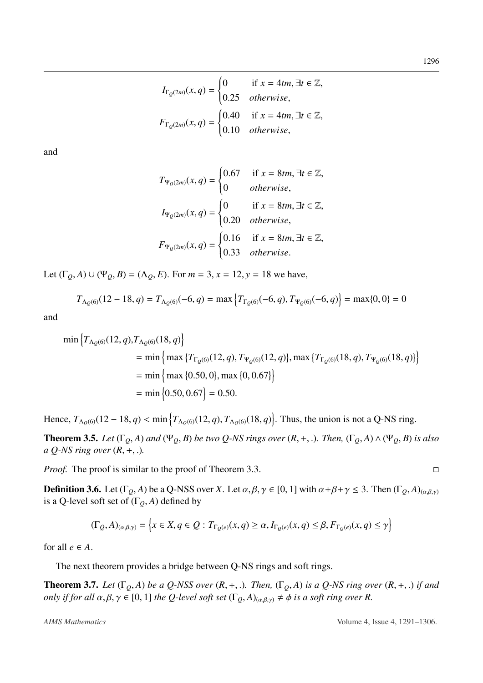$$
I_{\Gamma_Q(2m)}(x,q) = \begin{cases} 0 & \text{if } x = 4tm, \exists t \in \mathbb{Z}, \\ 0.25 & otherwise, \end{cases}
$$

$$
F_{\Gamma_Q(2m)}(x,q) = \begin{cases} 0.40 & \text{if } x = 4tm, \exists t \in \mathbb{Z}, \\ 0.10 & otherwise, \end{cases}
$$

and

$$
T_{\Psi_Q(2m)}(x,q) = \begin{cases} 0.67 & \text{if } x = 8tm, \exists t \in \mathbb{Z}, \\ 0 & otherwise, \end{cases}
$$
  
\n
$$
I_{\Psi_Q(2m)}(x,q) = \begin{cases} 0 & \text{if } x = 8tm, \exists t \in \mathbb{Z}, \\ 0.20 & otherwise, \end{cases}
$$
  
\n
$$
F_{\Psi_Q(2m)}(x,q) = \begin{cases} 0.16 & \text{if } x = 8tm, \exists t \in \mathbb{Z}, \\ 0.33 & otherwise. \end{cases}
$$

Let  $(\Gamma_0, A) \cup (\Psi_0, B) = (\Lambda_0, E)$ . For  $m = 3$ ,  $x = 12$ ,  $y = 18$  we have,

$$
T_{\Lambda_Q(6)}(12-18,q) = T_{\Lambda_Q(6)}(-6,q) = \max\left\{T_{\Gamma_Q(6)}(-6,q), T_{\Psi_Q(6)}(-6,q)\right\} = \max\{0,0\} = 0
$$

and

$$
\min \left\{ T_{\Lambda_Q(6)}(12, q), T_{\Lambda_Q(6)}(18, q) \right\}
$$
  
= 
$$
\min \left\{ \max \left\{ T_{\Gamma_Q(6)}(12, q), T_{\Psi_Q(6)}(12, q) \right\}, \max \left\{ T_{\Gamma_Q(6)}(18, q), T_{\Psi_Q(6)}(18, q) \right\} \right\}
$$
  
= 
$$
\min \left\{ \max \left\{ 0.50, 0 \right\}, \max \left\{ 0, 0.67 \right\} \right\}
$$
  
= 
$$
\min \left\{ 0.50, 0.67 \right\} = 0.50.
$$

Hence,  $T_{\Lambda_Q(6)}(12-18, q) < \min \{ T_{\Lambda_Q(6)}(12, q), T_{\Lambda_Q(6)}(18, q) \}$ . Thus, the union is not a Q-NS ring.

**Theorem 3.5.** Let  $(\Gamma_Q, A)$  and  $(\Psi_Q, B)$  be two Q-NS rings over  $(R, +, .)$ . Then,  $(\Gamma_Q, A) \wedge (\Psi_Q, B)$  is also *a Q-NS ring over* (*R*, <sup>+</sup>, .)*.*

*Proof.* The proof is similar to the proof of Theorem [3.3.](#page-4-0) □

**Definition 3.6.** Let  $(\Gamma_Q, A)$  be a Q-NSS over *X*. Let  $\alpha, \beta, \gamma \in [0, 1]$  with  $\alpha + \beta + \gamma \leq 3$ . Then  $(\Gamma_Q, A)_{(\alpha, \beta, \gamma)}$ is a Q-level soft set of  $(\Gamma_Q, A)$  defined by

$$
(\Gamma_Q, A)_{(\alpha, \beta, \gamma)} = \left\{ x \in X, q \in Q : T_{\Gamma_Q(e)}(x, q) \ge \alpha, I_{\Gamma_Q(e)}(x, q) \le \beta, F_{\Gamma_Q(e)}(x, q) \le \gamma \right\}
$$

for all  $e \in A$ .

The next theorem provides a bridge between Q-NS rings and soft rings.

**Theorem 3.7.** Let  $(\Gamma_0, A)$  be a Q-NSS over  $(R, +, .)$ . Then,  $(\Gamma_0, A)$  is a Q-NS ring over  $(R, +, .)$  if and *only if for all*  $\alpha, \beta, \gamma \in [0, 1]$  *the Q-level soft set*  $(\Gamma_0, A)_{(\alpha, \beta, \gamma)} \neq \phi$  *is a soft ring over R.*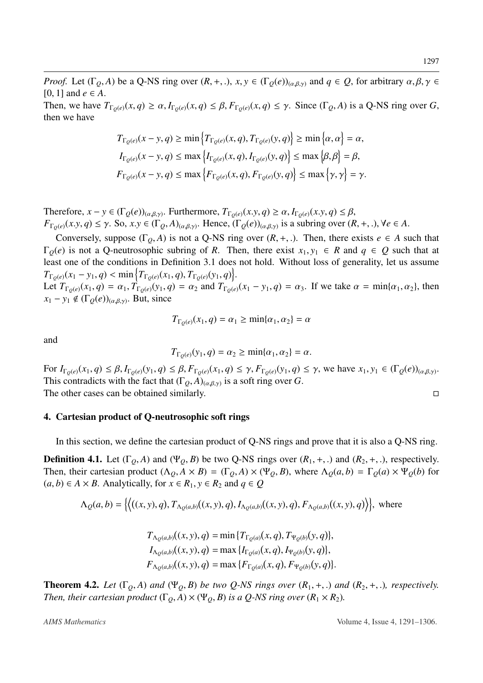*Proof.* Let  $(\Gamma_Q, A)$  be a Q-NS ring over  $(R, +, .)$ ,  $x, y \in (\Gamma_Q(e))_{(\alpha, \beta, \gamma)}$  and  $q \in Q$ , for arbitrary  $\alpha, \beta, \gamma \in Q$  $[0, 1]$  and  $e \in A$ .

Then, we have  $T_{\Gamma_0(e)}(x,q) \ge \alpha$ ,  $I_{\Gamma_0(e)}(x,q) \le \beta$ ,  $F_{\Gamma_0(e)}(x,q) \le \gamma$ . Since  $(\Gamma_0, A)$  is a Q-NS ring over G, then we have

$$
T_{\Gamma_{Q}(e)}(x - y, q) \ge \min \left\{ T_{\Gamma_{Q}(e)}(x, q), T_{\Gamma_{Q}(e)}(y, q) \right\} \ge \min \left\{ \alpha, \alpha \right\} = \alpha,
$$
  

$$
I_{\Gamma_{Q}(e)}(x - y, q) \le \max \left\{ I_{\Gamma_{Q}(e)}(x, q), I_{\Gamma_{Q}(e)}(y, q) \right\} \le \max \left\{ \beta, \beta \right\} = \beta,
$$
  

$$
F_{\Gamma_{Q}(e)}(x - y, q) \le \max \left\{ F_{\Gamma_{Q}(e)}(x, q), F_{\Gamma_{Q}(e)}(y, q) \right\} \le \max \left\{ \gamma, \gamma \right\} = \gamma.
$$

Therefore,  $x - y \in (\Gamma_Q(e))_{(\alpha,\beta,\gamma)}$ . Furthermore,  $T_{\Gamma_Q(e)}(x,y,q) \ge \alpha$ ,  $I_{\Gamma_Q(e)}(x,y,q) \le \beta$ ,<br>  $F_{\Gamma_Q(e)}(x, y, q) \le \alpha \le \text{So } xy \in (\Gamma_S(A))$ ,  $\text{Hence } (\Gamma_S(e))_{\alpha,\beta,\gamma}$  is a subring over (*k*  $F_{\Gamma_Q(e)}(x, y, q) \le \gamma$ . So,  $x, y \in (\Gamma_Q, A)_{(\alpha, \beta, \gamma)}$ . Hence,  $(\Gamma_Q(e))_{(\alpha, \beta, \gamma)}$  is a subring over  $(R, +, \cdot)$ ,  $\forall e \in A$ .

Conversely, suppose  $(\Gamma_0, A)$  is not a Q-NS ring over  $(R, +, \cdot)$ . Then, there exists  $e \in A$  such that  $\Gamma_Q(e)$  is not a Q-neutrosophic subring of *R*. Then, there exist  $x_1, y_1 \in R$  and  $q \in Q$  such that at least one of the conditions in Definition [3.1](#page-2-0) does not hold. Without loss of generality, let us assume  $T_{\Gamma_Q(e)}(x_1 - y_1, q) < \min \left\{ T_{\Gamma_Q(e)}(x_1, q), T_{\Gamma_Q(e)}(y_1, q) \right\}.$ <br> *I* et  $T_{\Gamma_Q(e)}(x_1, q) = \alpha$ ,  $T_{\Gamma_Q(e)}(y_1, q) = \alpha$ , and  $T_{\Gamma_Q(e)}(y_1, q)$ 

Let  $T_{\Gamma_0(e)}(x_1, q) = \alpha_1$ ,  $T_{\Gamma_0(e)}(y_1, q) = \alpha_2$  and  $T_{\Gamma_0(e)}(x_1 - y_1, q) = \alpha_3$ . If we take  $\alpha = \min{\{\alpha_1, \alpha_2\}}$ , then  $x_1 - y_1 \notin (\Gamma_Q(e))_{(\alpha,\beta,\gamma)}$ . But, since

$$
T_{\Gamma_Q(e)}(x_1, q) = \alpha_1 \ge \min\{\alpha_1, \alpha_2\} = \alpha
$$

and

$$
T_{\Gamma_{Q}(e)}(y_1,q)=\alpha_2\geq \min\{\alpha_1,\alpha_2\}=\alpha.
$$

For  $I_{\Gamma_Q(e)}(x_1, q) \leq \beta$ ,  $I_{\Gamma_Q(e)}(y_1, q) \leq \beta$ ,  $F_{\Gamma_Q(e)}(x_1, q) \leq \gamma$ ,  $F_{\Gamma_Q(e)}(y_1, q) \leq \gamma$ , we have  $x_1, y_1 \in (\Gamma_Q(e))_{(\alpha, \beta, \gamma)}$ .<br>This contradicts with the fact that  $(\Gamma_{\alpha}, A)_{\alpha, \beta}$  is a soft ring over  $G$ . This contradicts with the fact that  $(\Gamma_Q, A)_{(\alpha, \beta, \gamma)}$  is a soft ring over *G*.<br>The other cases can be obtained similarly The other cases can be obtained similarly.  $\Box$ 

#### 4. Cartesian product of Q-neutrosophic soft rings

In this section, we define the cartesian product of Q-NS rings and prove that it is also a Q-NS ring.

**Definition 4.1.** Let  $(\Gamma_0, A)$  and  $(\Psi_0, B)$  be two Q-NS rings over  $(R_1, +,.)$  and  $(R_2, +,.)$ , respectively. Then, their cartesian product  $(\Lambda_Q, A \times B) = (\Gamma_Q, A) \times (\Psi_Q, B)$ , where  $\Lambda_Q(a, b) = \Gamma_Q(a) \times \Psi_Q(b)$  for (*a*, *b*) ∈ *A* × *B*. Analytically, for *x* ∈ *R*<sub>1</sub>, *y* ∈ *R*<sub>2</sub> and *q* ∈ *Q* 

$$
\Lambda_Q(a,b) = \left\{ \left\langle ((x,y), q), T_{\Lambda_Q(a,b)}((x,y), q), I_{\Lambda_Q(a,b)}((x,y), q), F_{\Lambda_Q(a,b)}((x,y), q) \right\rangle \right\}, \text{ where}
$$

$$
T_{\Lambda_Q(a,b)}((x, y), q) = \min \{ T_{\Gamma_Q(a)}(x, q), T_{\Psi_Q(b)}(y, q) \},
$$
  
\n
$$
I_{\Lambda_Q(a,b)}((x, y), q) = \max \{ I_{\Gamma_Q(a)}(x, q), I_{\Psi_Q(b)}(y, q) \},
$$
  
\n
$$
F_{\Lambda_Q(a,b)}((x, y), q) = \max \{ F_{\Gamma_Q(a)}(x, q), F_{\Psi_Q(b)}(y, q) \}.
$$

**Theorem 4.2.** Let  $(\Gamma_0, A)$  and  $(\Psi_0, B)$  be two Q-NS rings over  $(R_1, +, \cdot)$  and  $(R_2, +, \cdot)$ , respectively. *Then, their cartesian product*  $(\Gamma_0, A) \times (\Psi_0, B)$  *is a Q-NS ring over*  $(R_1 \times R_2)$ *.*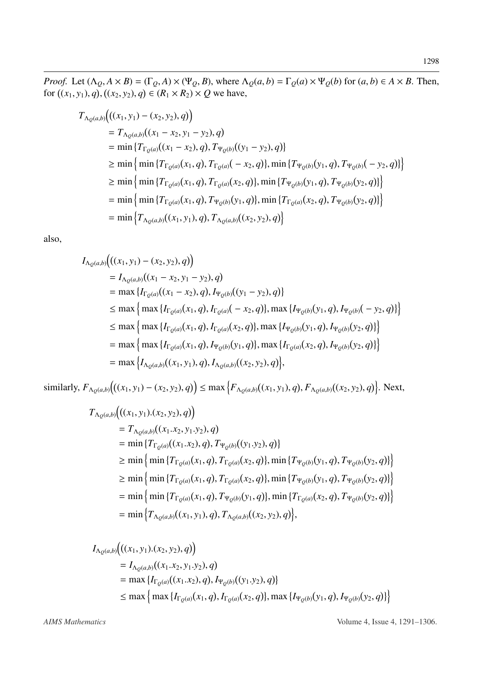*Proof.* Let  $(\Lambda_Q, A \times B) = (\Gamma_Q, A) \times (\Psi_Q, B)$ , where  $\Lambda_Q(a, b) = \Gamma_Q(a) \times \Psi_Q(b)$  for  $(a, b) \in A \times B$ . Then, for  $((x_1, y_1), q)$  $\overline{a}$  $((x_2, y_2), q) ∈ (R_1 × R_2) × Q$  we have,

$$
T_{\Lambda_{Q}(a,b)}\Big((x_1, y_1) - (x_2, y_2), q)\Big)
$$
  
=  $T_{\Lambda_{Q}(a,b)}((x_1 - x_2, y_1 - y_2), q)$   
= min  $\{T_{\Gamma_{Q}(a)}((x_1 - x_2), q), T_{\Psi_{Q}(b)}((y_1 - y_2), q)\}\$   
 $\geq$  min  $\{\min \{T_{\Gamma_{Q}(a)}(x_1, q), T_{\Gamma_{Q}(a)}(-x_2, q)\}, \min \{T_{\Psi_{Q}(b)}(y_1, q), T_{\Psi_{Q}(b)}(-y_2, q)\}\}\$   
 $\geq$  min  $\{\min \{T_{\Gamma_{Q}(a)}(x_1, q), T_{\Gamma_{Q}(a)}(x_2, q)\}, \min \{T_{\Psi_{Q}(b)}(y_1, q), T_{\Psi_{Q}(b)}(y_2, q)\}\}\$   
= min  $\{\min \{T_{\Gamma_{Q}(a)}(x_1, q), T_{\Psi_{Q}(b)}(y_1, q)\}, \min \{T_{\Gamma_{Q}(a)}(x_2, q), T_{\Psi_{Q}(b)}(y_2, q)\}\}\$   
= min  $\{T_{\Lambda_{Q}(a,b)}((x_1, y_1), q), T_{\Lambda_{Q}(a,b)}((x_2, y_2), q)\}$ 

also,

$$
I_{\Lambda_{Q}(a,b)}\Big((x_1, y_1) - (x_2, y_2), q)\Big)
$$
  
=  $I_{\Lambda_{Q}(a,b)}((x_1 - x_2, y_1 - y_2), q)$   
= max  $\{I_{\Gamma_{Q}(a)}((x_1 - x_2), q), I_{\Psi_{Q}(b)}((y_1 - y_2), q)\}\$   
 $\leq$  max  $\{ \max \{I_{\Gamma_{Q}(a)}(x_1, q), I_{\Gamma_{Q}(a)}(-x_2, q)\}, \max \{I_{\Psi_{Q}(b)}(y_1, q), I_{\Psi_{Q}(b)}(-y_2, q)\}\}\$   
 $\leq$  max  $\{ \max \{I_{\Gamma_{Q}(a)}(x_1, q), I_{\Gamma_{Q}(a)}(x_2, q)\}, \max \{I_{\Psi_{Q}(b)}(y_1, q), I_{\Psi_{Q}(b)}(y_2, q)\}\}\$   
= max  $\{ \max \{I_{\Gamma_{Q}(a)}(x_1, q), I_{\Psi_{Q}(b)}(y_1, q)\}, \max \{I_{\Gamma_{Q}(a)}(x_2, q), I_{\Psi_{Q}(b)}(y_2, q)\}\}\$   
= max  $\{I_{\Lambda_{Q}(a,b)}((x_1, y_1), q), I_{\Lambda_{Q}(a,b)}((x_2, y_2), q)\},$ 

similarly,  $F_{\Lambda_Q(a,b)}\big((x_1,y_1)-(x_2,y_2),q)\big) \leq \max\Big\{F_{\Lambda_Q(a,b)}((x_1,y_1),q),F_{\Lambda_Q(a,b)}((x_2,y_2),q)\Big\}.$  Next,

$$
T_{\Lambda_Q(a,b)}\big((x_1, y_1).(x_2, y_2), q)\big)
$$
  
=  $T_{\Lambda_Q(a,b)}((x_1.x_2, y_1.y_2), q)$   
= min  $\{T_{\Gamma_Q(a)}((x_1.x_2), q), T_{\Psi_Q(b)}((y_1.y_2), q)\}\$   
 $\geq$  min  $\{min\{T_{\Gamma_Q(a)}(x_1, q), T_{\Gamma_Q(a)}(x_2, q)\}, min\{T_{\Psi_Q(b)}(y_1, q), T_{\Psi_Q(b)}(y_2, q)\}\}\$   
 $\geq$  min  $\{min\{T_{\Gamma_Q(a)}(x_1, q), T_{\Gamma_Q(a)}(x_2, q)\}, min\{T_{\Psi_Q(b)}(y_1, q), T_{\Psi_Q(b)}(y_2, q)\}\}\$   
= min  $\{min\{T_{\Gamma_Q(a)}(x_1, q), T_{\Psi_Q(b)}(y_1, q)\}, min\{T_{\Gamma_Q(a)}(x_2, q), T_{\Psi_Q(b)}(y_2, q)\}\}\$   
= min  $\{T_{\Lambda_Q(a,b)}((x_1, y_1), q), T_{\Lambda_Q(a,b)}((x_2, y_2), q)\},$ 

$$
I_{\Lambda_Q(a,b)}\big((x_1, y_1).(x_2, y_2), q)\big)
$$
  
=  $I_{\Lambda_Q(a,b)}((x_1.x_2, y_1.y_2), q)$   
= max  $\{I_{\Gamma_Q(a)}((x_1.x_2), q), I_{\Psi_Q(b)}((y_1.y_2), q)\}\$   
 $\leq$  max  $\{$  max  $\{I_{\Gamma_Q(a)}(x_1, q), I_{\Gamma_Q(a)}(x_2, q)\}, \max \{I_{\Psi_Q(b)}(y_1, q), I_{\Psi_Q(b)}(y_2, q)\}\}$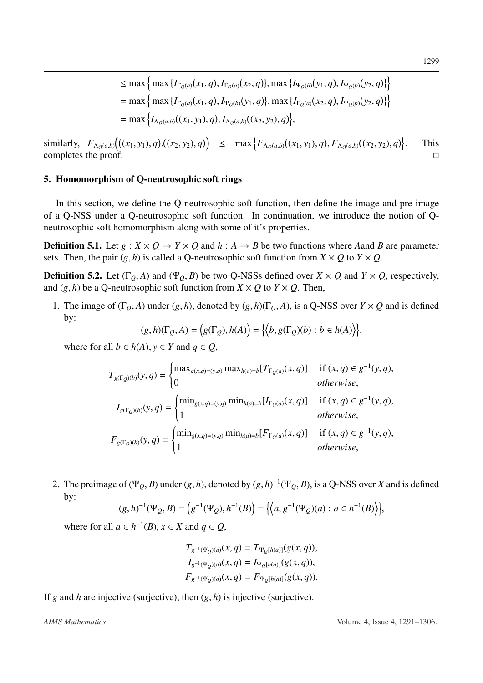similarly,  $F_{\Lambda_Q(a,b)}\Big((x_1, y_1), q\Big)$ <br>completes the proof  $((x_2, y_2), q)$   $\leq$   $\max \{ F_{\Lambda_Q(a,b)}((x_1, y_1), q), F_{\Lambda_Q(a,b)}((x_2, y_2), q) \}$ . This completes the proof.  $\Box$ 

#### 5. Homomorphism of Q-neutrosophic soft rings

In this section, we define the Q-neutrosophic soft function, then define the image and pre-image of a Q-NSS under a Q-neutrosophic soft function. In continuation, we introduce the notion of Qneutrosophic soft homomorphism along with some of it's properties.

**Definition 5.1.** Let  $g: X \times Q \rightarrow Y \times Q$  and  $h: A \rightarrow B$  be two functions where A and B are parameter sets. Then, the pair  $(g, h)$  is called a Q-neutrosophic soft function from  $X \times Q$  to  $Y \times Q$ .

**Definition 5.2.** Let  $(\Gamma_0, A)$  and  $(\Psi_0, B)$  be two Q-NSSs defined over  $X \times Q$  and  $Y \times Q$ , respectively, and  $(g, h)$  be a Q-neutrosophic soft function from  $X \times Q$  to  $Y \times Q$ . Then,

1. The image of  $(\Gamma_Q, A)$  under  $(g, h)$ , denoted by  $(g, h)(\Gamma_Q, A)$ , is a Q-NSS over  $Y \times Q$  and is defined by:

$$
(g,h)(\Gamma_Q,A) = \Big(g(\Gamma_Q),h(A)\Big) = \Big\{\Big\langle b,g(\Gamma_Q)(b) : b \in h(A)\Big\rangle\Big\},\
$$

where for all  $b \in h(A)$ ,  $y \in Y$  and  $q \in Q$ ,

$$
T_{g(\Gamma_Q)(b)}(y, q) = \begin{cases} \max_{g(x,q)=(y,q)} \max_{h(a)=b} [T_{\Gamma_Q(a)}(x, q)] & \text{if } (x, q) \in g^{-1}(y, q), \\ 0 & \text{otherwise,} \end{cases}
$$
  
\n
$$
I_{g(\Gamma_Q)(b)}(y, q) = \begin{cases} \min_{g(x,q)=(y,q)} \min_{h(a)=b} [I_{\Gamma_Q(a)}(x, q)] & \text{if } (x, q) \in g^{-1}(y, q), \\ 1 & \text{otherwise,} \end{cases}
$$
  
\n
$$
F_{g(\Gamma_Q)(b)}(y, q) = \begin{cases} \min_{g(x,q)=(y,q)} \min_{h(a)=b} [F_{\Gamma_Q(a)}(x, q)] & \text{if } (x, q) \in g^{-1}(y, q), \\ 1 & \text{otherwise,} \end{cases}
$$

2. The preimage of ( $\Psi_Q$ , *B*) under  $(g, h)$ , denoted by  $(g, h)^{-1}(\Psi_Q, B)$ , is a Q-NSS over *X* and is defined by: by:

$$
(g,h)^{-1}(\Psi_Q,B) = \left(g^{-1}(\Psi_Q),h^{-1}(B)\right) = \left\{ \left\langle a,g^{-1}(\Psi_Q)(a) : a \in h^{-1}(B) \right\rangle \right\},\
$$

where for all  $a \in h^{-1}(B)$ ,  $x \in X$  and  $q \in Q$ ,

$$
T_{g^{-1}(\Psi_Q)(a)}(x,q) = T_{\Psi_Q[h(a)]}(g(x,q)),
$$
  
\n
$$
I_{g^{-1}(\Psi_Q)(a)}(x,q) = I_{\Psi_Q[h(a)]}(g(x,q)),
$$
  
\n
$$
F_{g^{-1}(\Psi_Q)(a)}(x,q) = F_{\Psi_Q[h(a)]}(g(x,q)).
$$

If *<sup>g</sup>* and *<sup>h</sup>* are injective (surjective), then (*g*, *<sup>h</sup>*) is injective (surjective).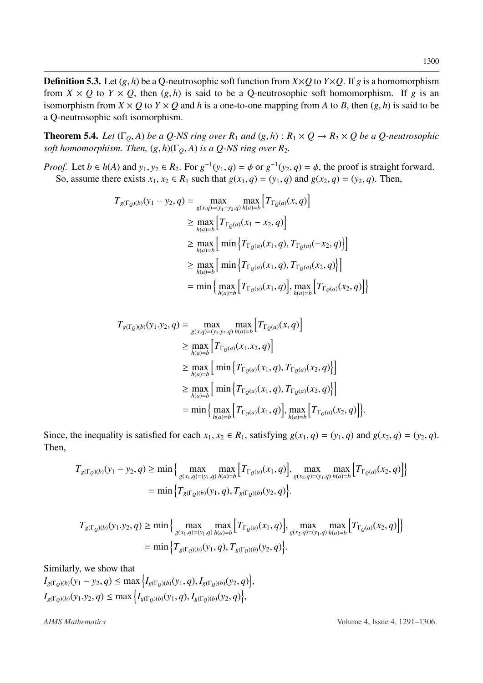**Definition 5.3.** Let  $(g, h)$  be a Q-neutrosophic soft function from  $X \times Q$  to  $Y \times Q$ . If *g* is a homomorphism from  $X \times Q$  to  $Y \times Q$ , then  $(g, h)$  is said to be a Q-neutrosophic soft homomorphism. If g is an isomorphism from  $X \times Q$  to  $Y \times Q$  and *h* is a one-to-one mapping from *A* to *B*, then  $(g, h)$  is said to be a Q-neutrosophic soft isomorphism.

**Theorem 5.4.** *Let*  $(\Gamma_0, A)$  *be a Q-NS ring over*  $R_1$  *and*  $(g, h)$  :  $R_1 \times Q \rightarrow R_2 \times Q$  *be a Q-neutrosophic soft homomorphism. Then,*  $(g, h)(\Gamma_0, A)$  *is a Q-NS ring over R<sub>2</sub>.* 

*Proof.* Let  $b \in h(A)$  and  $y_1, y_2 \in R_2$ . For  $g^{-1}(y_1, q) = \phi$  or  $g^{-1}(y_2, q) = \phi$ , the proof is straight forward.<br>So assume there exists  $x_1, x_2 \in R_1$  such that  $g(x_1, q) = (y_1, q)$  and  $g(x_2, q) = (y_2, q)$ . Then So, assume there exists  $x_1, x_2 \in R_1$  such that  $g(x_1, q) = (y_1, q)$  and  $g(x_2, q) = (y_2, q)$ . Then,

$$
T_{g(\Gamma_Q)(b)}(y_1 - y_2, q) = \max_{g(x,q)=(y_1-y_2,q)} \max_{h(a)=b} [T_{\Gamma_Q(a)}(x, q)]
$$
  
\n
$$
\geq \max_{h(a)=b} [T_{\Gamma_Q(a)}(x_1 - x_2, q)]
$$
  
\n
$$
\geq \max_{h(a)=b} [\min \{T_{\Gamma_Q(a)}(x_1, q), T_{\Gamma_Q(a)}(-x_2, q)\}]
$$
  
\n
$$
\geq \max_{h(a)=b} [\min \{T_{\Gamma_Q(a)}(x_1, q), T_{\Gamma_Q(a)}(x_2, q)\}]
$$
  
\n
$$
= \min \{ \max_{h(a)=b} [T_{\Gamma_Q(a)}(x_1, q)], \max_{h(a)=b} [T_{\Gamma_Q(a)}(x_2, q)] \}
$$

$$
T_{g(\Gamma_Q)(b)}(y_1, y_2, q) = \max_{g(x,q)=(y_1, y_2, q) h(a)=b} \left[ T_{\Gamma_Q(a)}(x, q) \right]
$$
  
\n
$$
\geq \max_{h(a)=b} \left[ T_{\Gamma_Q(a)}(x_1, x_2, q) \right]
$$
  
\n
$$
\geq \max_{h(a)=b} \left[ \min \left\{ T_{\Gamma_Q(a)}(x_1, q), T_{\Gamma_Q(a)}(x_2, q) \right\} \right]
$$
  
\n
$$
\geq \max_{h(a)=b} \left[ \min \left\{ T_{\Gamma_Q(a)}(x_1, q), T_{\Gamma_Q(a)}(x_2, q) \right\} \right]
$$
  
\n
$$
= \min \left\{ \max_{h(a)=b} \left[ T_{\Gamma_Q(a)}(x_1, q) \right], \max_{h(a)=b} \left[ T_{\Gamma_Q(a)}(x_2, q) \right] \right\}.
$$

Since, the inequality is satisfied for each  $x_1, x_2 \in R_1$ , satisfying  $g(x_1, q) = (y_1, q)$  and  $g(x_2, q) = (y_2, q)$ . Then,

$$
T_{g(\Gamma_Q)(b)}(y_1 - y_2, q) \ge \min\left\{\max_{g(x_1, q) = (y_1, q)} \max_{h(a) = b} \left[T_{\Gamma_Q(a)}(x_1, q)\right], \max_{g(x_2, q) = (y_1, q)} \max_{h(a) = b} \left[T_{\Gamma_Q(a)}(x_2, q)\right]\right\}
$$
  
=  $\min\left\{T_{g(\Gamma_Q)(b)}(y_1, q), T_{g(\Gamma_Q)(b)}(y_2, q)\right\}.$ 

$$
T_{g(\Gamma_Q)(b)}(y_1, y_2, q) \ge \min\left\{\max_{g(x_1, q)=(y_1, q)} \max_{h(a)=b} \left[T_{\Gamma_Q(a)}(x_1, q)\right], \max_{g(x_2, q)=(y_1, q)} \max_{h(a)=b} \left[T_{\Gamma_Q(a)}(x_2, q)\right]\right\}
$$

$$
= \min\left\{T_{g(\Gamma_Q)(b)}(y_1, q), T_{g(\Gamma_Q)(b)}(y_2, q)\right\}.
$$

Similarly, we show that

 $I_{g(\Gamma_Q)(b)}(y_1 - y_2, q) \le \max\left\{I_{g(\Gamma_Q)(b)}(y_1, q), I_{g(\Gamma_Q)(b)}(y_2, q)\right\}$  $\overline{a}$  $I_{g(\Gamma_Q)(b)}(y_1, y_2, q) \le \max\left\{I_{g(\Gamma_Q)(b)}(y_1, q), I_{g(\Gamma_Q)(b)}(y_2, q)\right\}$  $\overline{a}$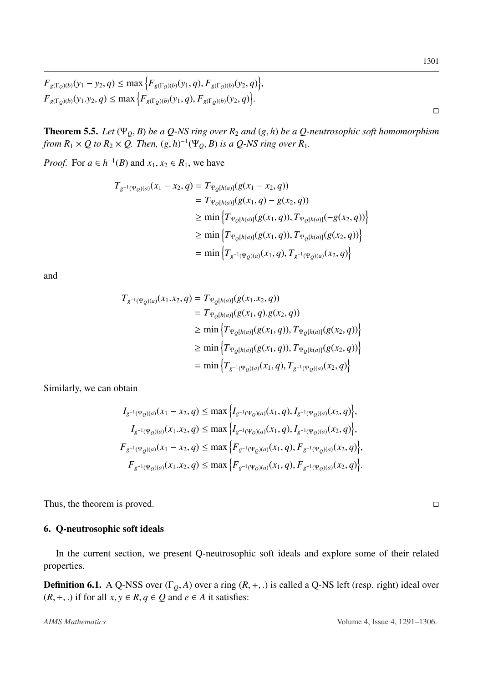**Theorem 5.5.** *Let*  $(\Psi_{Q}, B)$  *be a Q-NS ring over*  $R_2$  *and*  $(g,h)$  *be a Q-neutrosophic soft homomorphism from*  $R_1 \times Q$  *to*  $R_2 \times Q$ . Then,  $(g,h)^{-1}(\Psi_Q, B)$  *is a*  $Q$ -NS ring over  $R_1$ .

*Proof.* For  $a \in h^{-1}(B)$  and  $x_1, x_2 \in R_1$ , we have

$$
T_{g^{-1}(\Psi_Q)(a)}(x_1 - x_2, q) = T_{\Psi_Q[h(a)]}(g(x_1 - x_2, q))
$$
  
\n
$$
= T_{\Psi_Q[h(a)]}(g(x_1, q) - g(x_2, q))
$$
  
\n
$$
\geq \min \left\{ T_{\Psi_Q[h(a)]}(g(x_1, q)), T_{\Psi_Q[h(a)]}(-g(x_2, q)) \right\}
$$
  
\n
$$
\geq \min \left\{ T_{\Psi_Q[h(a)]}(g(x_1, q)), T_{\Psi_Q[h(a)]}(g(x_2, q)) \right\}
$$
  
\n
$$
= \min \left\{ T_{g^{-1}(\Psi_Q)(a)}(x_1, q), T_{g^{-1}(\Psi_Q)(a)}(x_2, q) \right\}
$$

and

$$
T_{g^{-1}(\Psi_Q)(a)}(x_1.x_2, q) = T_{\Psi_Q[h(a)]}(g(x_1.x_2, q))
$$
  
\n
$$
= T_{\Psi_Q[h(a)]}(g(x_1, q).g(x_2, q))
$$
  
\n
$$
\geq \min \{ T_{\Psi_Q[h(a)]}(g(x_1, q)), T_{\Psi_Q[h(a)]}(g(x_2, q)) \}
$$
  
\n
$$
\geq \min \{ T_{\Psi_Q[h(a)]}(g(x_1, q)), T_{\Psi_Q[h(a)]}(g(x_2, q)) \}
$$
  
\n
$$
= \min \{ T_{g^{-1}(\Psi_Q)(a)}(x_1, q), T_{g^{-1}(\Psi_Q)(a)}(x_2, q) \}
$$

Similarly, we can obtain

$$
I_{g^{-1}(\Psi_Q)(a)}(x_1 - x_2, q) \le \max \Big\{ I_{g^{-1}(\Psi_Q)(a)}(x_1, q), I_{g^{-1}(\Psi_Q)(a)}(x_2, q) \Big\},
$$
  
\n
$$
I_{g^{-1}(\Psi_Q)(a)}(x_1, x_2, q) \le \max \Big\{ I_{g^{-1}(\Psi_Q)(a)}(x_1, q), I_{g^{-1}(\Psi_Q)(a)}(x_2, q) \Big\},
$$
  
\n
$$
F_{g^{-1}(\Psi_Q)(a)}(x_1 - x_2, q) \le \max \Big\{ F_{g^{-1}(\Psi_Q)(a)}(x_1, q), F_{g^{-1}(\Psi_Q)(a)}(x_2, q) \Big\},
$$
  
\n
$$
F_{g^{-1}(\Psi_Q)(a)}(x_1, x_2, q) \le \max \Big\{ F_{g^{-1}(\Psi_Q)(a)}(x_1, q), F_{g^{-1}(\Psi_Q)(a)}(x_2, q) \Big\}.
$$

Thus, the theorem is proved.  $\square$ 

### 6. Q-neutrosophic soft ideals

In the current section, we present Q-neutrosophic soft ideals and explore some of their related properties.

**Definition 6.1.** A Q-NSS over  $(\Gamma_Q, A)$  over a ring  $(R, +, .)$  is called a Q-NS left (resp. right) ideal over  $(R, +, .)$  if for all *x*, *y* ∈ *R*, *q* ∈ *Q* and *e* ∈ *A* it satisfies:

 $\Box$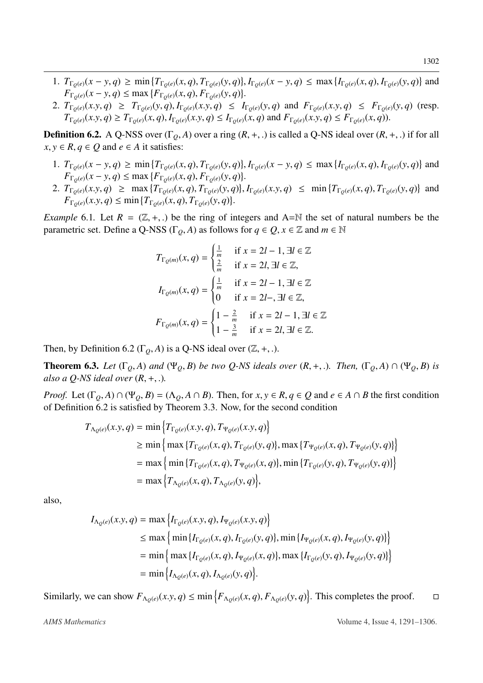- 1.  $T_{\Gamma_Q(e)}(x-y,q) \ge \min \{ T_{\Gamma_Q(e)}(x,q), T_{\Gamma_Q(e)}(y,q) \}, I_{\Gamma_Q(e)}(x-y,q) \le \max \{ I_{\Gamma_Q(e)}(x,q), I_{\Gamma_Q(e)}(y,q) \}$  and<br> $F_{\Gamma_Q(e)}(x-y,q) \le \max \{ F_{\Gamma_Q(e)}(x,q), F_{\Gamma_Q(e)}(y,q) \}$  $F_{\Gamma_Q(e)}(x-y, q) \le \max \{ F_{\Gamma_Q(e)}(x, q), F_{\Gamma_Q(e)}(y, q) \}$ <br> *T*<sub>*Z*</sub> (*x*, *y*, *q*) > *T*<sub>*z*</sub> (*y*, *q*) *L*<sub>*z*</sub> (*x*, *y*, *q*) <
- 2.  $T_{\Gamma_Q(e)}(x, y, q) \geq T_{\Gamma_Q(e)}(y, q), I_{\Gamma_Q(e)}(x, y, q) \leq I_{\Gamma_Q(e)}(y, q)$  and  $F_{\Gamma_Q(e)}(x, y, q) \leq F_{\Gamma_Q(e)}(y, q)$  (resp.<br> $T_{\Gamma_Q(e)}(x, y, q) \geq T_{\Gamma_Q(e)}(y, q), I_{\Gamma_Q(e)}(x, y, q) \leq I_{\Gamma_Q(e)}(y, q)$  and  $F_{\Gamma_Q(e)}(x, y, q) \leq F_{\Gamma_Q(e)}(y, q)$  (resp.  $T_{\Gamma_0(e)}(x,y,q) \geq T_{\Gamma_0(e)}(x,q), I_{\Gamma_0(e)}(x,y,q) \leq I_{\Gamma_0(e)}(x,q)$  and  $F_{\Gamma_0(e)}(x,y,q) \leq F_{\Gamma_0(e)}(x,q)$ .

<span id="page-11-0"></span>**Definition 6.2.** A Q-NSS over  $(\Gamma_0, A)$  over a ring  $(R, +, .)$  is called a Q-NS ideal over  $(R, +, .)$  if for all  $x, y \in R$ ,  $q \in Q$  and  $e \in A$  it satisfies:

- 1.  $T_{\Gamma_Q(e)}(x-y,q) \ge \min \{ T_{\Gamma_Q(e)}(x,q), T_{\Gamma_Q(e)}(y,q) \}, I_{\Gamma_Q(e)}(x-y,q) \le \max \{ I_{\Gamma_Q(e)}(x,q), I_{\Gamma_Q(e)}(y,q) \}$  and<br> $F_{\Gamma_Q(e)}(x-y,q) \le \max \{ F_{\Gamma_Q(e)}(x,q), F_{\Gamma_Q(e)}(y,q) \}$  $F_{\Gamma_Q(e)}(x-y, q) \le \max \{ F_{\Gamma_Q(e)}(x, q), F_{\Gamma_Q(e)}(y, q) \}$ <br> *T*<sub>*Z*</sub> (*x*, *y*) > may  $\{ T_{\Gamma_Q(e)}(x, q), T_{\Gamma_Q(e)}(y, q) \}$
- 2.  $T_{\Gamma_Q(e)}(x, y, q) \ge \max \{ T_{\Gamma_Q(e)}(x, q), T_{\Gamma_Q(e)}(y, q) \}, I_{\Gamma_Q(e)}(x, y, q) \le \min \{ T_{\Gamma_Q(e)}(x, q), T_{\Gamma_Q(e)}(y, q) \}$  and<br> $F_{\Gamma_Q(e)}(x, y, q) \le \min \{ T_{\Gamma_Q(e)}(x, q), T_{\Gamma_Q(e)}(y, q) \}$  $F_{\Gamma_Q(e)}(x,y,q) \le \min \{ T_{\Gamma_Q(e)}(x,q), T_{\Gamma_Q(e)}(y,q) \}.$

*Example* 6.1. Let  $R = (\mathbb{Z}, +,.)$  be the ring of integers and A=N the set of natural numbers be the parametric set. Define a Q-NSS ( $\Gamma$ <sub>*Q</sub>*, *A*) as follows for  $q \in Q$ ,  $x \in \mathbb{Z}$  and  $m \in \mathbb{N}$ </sub>

$$
T_{\Gamma_Q(m)}(x, q) = \begin{cases} \frac{1}{m} & \text{if } x = 2l - 1, \exists l \in \mathbb{Z} \\ \frac{2}{m} & \text{if } x = 2l, \exists l \in \mathbb{Z}, \end{cases}
$$

$$
I_{\Gamma_Q(m)}(x, q) = \begin{cases} \frac{1}{m} & \text{if } x = 2l - 1, \exists l \in \mathbb{Z} \\ 0 & \text{if } x = 2l -, \exists l \in \mathbb{Z}, \end{cases}
$$

$$
F_{\Gamma_Q(m)}(x, q) = \begin{cases} 1 - \frac{2}{m} & \text{if } x = 2l - 1, \exists l \in \mathbb{Z} \\ 1 - \frac{3}{m} & \text{if } x = 2l, \exists l \in \mathbb{Z}. \end{cases}
$$

Then, by Definition [6.2](#page-11-0) ( $\Gamma_0$ , *A*) is a Q-NS ideal over ( $\mathbb{Z}, +, \cdot$ ).

<span id="page-11-1"></span>**Theorem 6.3.** Let  $(\Gamma_Q, A)$  and  $(\Psi_Q, B)$  be two Q-NS ideals over  $(R, +, .)$ . Then,  $(\Gamma_Q, A) \cap (\Psi_Q, B)$  is *also a Q-NS ideal over* (*R*, <sup>+</sup>, .)*.*

*Proof.* Let  $(\Gamma_0, A) \cap (\Psi_0, B) = (\Lambda_0, A \cap B)$ . Then, for  $x, y \in R, q \in Q$  and  $e \in A \cap B$  the first condition of Definition [6.2](#page-11-0) is satisfied by Theorem [3.3.](#page-4-0) Now, for the second condition

$$
T_{\Lambda_Q(e)}(x,y,q) = \min \left\{ T_{\Gamma_Q(e)}(x,y,q), T_{\Psi_Q(e)}(x,y,q) \right\}
$$
  
\n
$$
\geq \min \left\{ \max \left\{ T_{\Gamma_Q(e)}(x,q), T_{\Gamma_Q(e)}(y,q) \right\}, \max \left\{ T_{\Psi_Q(e)}(x,q), T_{\Psi_Q(e)}(y,q) \right\} \right\}
$$
  
\n
$$
= \max \left\{ \min \left\{ T_{\Gamma_Q(e)}(x,q), T_{\Psi_Q(e)}(x,q) \right\}, \min \left\{ T_{\Gamma_Q(e)}(y,q), T_{\Psi_Q(e)}(y,q) \right\} \right\}
$$
  
\n
$$
= \max \left\{ T_{\Lambda_Q(e)}(x,q), T_{\Lambda_Q(e)}(y,q) \right\},
$$

also,

$$
I_{\Lambda_{Q}(e)}(x,y,q) = \max \Big\{ I_{\Gamma_{Q}(e)}(x,y,q), I_{\Psi_{Q}(e)}(x,y,q) \Big\}
$$
  
\n
$$
\leq \max \Big\{ \min \big\{ I_{\Gamma_{Q}(e)}(x,q), I_{\Gamma_{Q}(e)}(y,q) \big\}, \min \big\{ I_{\Psi_{Q}(e)}(x,q), I_{\Psi_{Q}(e)}(y,q) \big\} \Big\}
$$
  
\n
$$
= \min \Big\{ \max \big\{ I_{\Gamma_{Q}(e)}(x,q), I_{\Psi_{Q}(e)}(x,q) \big\}, \max \big\{ I_{\Gamma_{Q}(e)}(y,q), I_{\Psi_{Q}(e)}(y,q) \big\} \Big\}
$$
  
\n
$$
= \min \Big\{ I_{\Lambda_{Q}(e)}(x,q), I_{\Lambda_{Q}(e)}(y,q) \Big\}.
$$

Similarly, we can show  $F_{\Lambda_Q(e)}(x, y, q) \le \min \{ F_{\Lambda_Q(e)}(x, q), F_{\Lambda_Q(e)}(y, q) \}.$  This completes the proof.  $\square$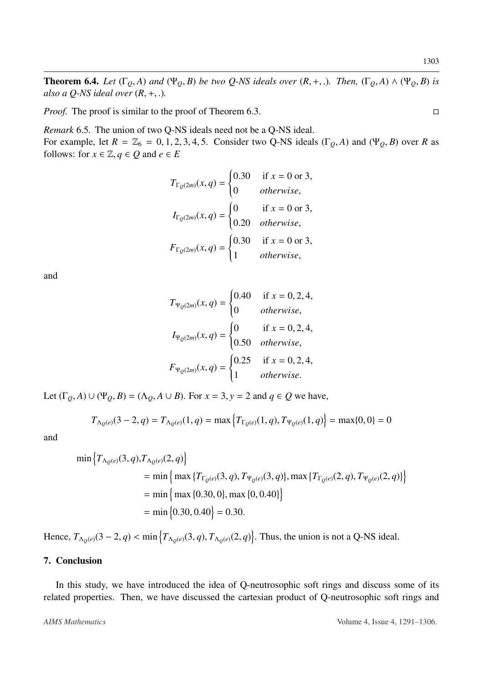**Theorem 6.4.** *Let*  $(\Gamma_Q, A)$  *and*  $(\Psi_Q, B)$  *be two Q-NS ideals over*  $(R, +, .)$ *. Then,*  $(\Gamma_Q, A) \wedge (\Psi_Q, B)$  *is also a Q-NS ideal over* (*R*, <sup>+</sup>, .)*.*

*Proof.* The proof is similar to the proof of Theorem [6.3.](#page-11-1)

*Remark* 6.5*.* The union of two Q-NS ideals need not be a Q-NS ideal. For example, let  $R = \mathbb{Z}_6 = 0, 1, 2, 3, 4, 5$ . Consider two Q-NS ideals ( $\Gamma_Q$ , *A*) and ( $\Psi_Q$ , *B*) over *R* as follows: for  $x \in \mathbb{Z}, q \in Q$  and  $e \in E$ 

$$
T_{\Gamma_Q(2m)}(x,q) = \begin{cases} 0.30 & \text{if } x = 0 \text{ or } 3, \\ 0 & \text{otherwise,} \end{cases}
$$
\n
$$
I_{\Gamma_Q(2m)}(x,q) = \begin{cases} 0 & \text{if } x = 0 \text{ or } 3, \\ 0.20 & \text{otherwise,} \end{cases}
$$
\n
$$
F_{\Gamma_Q(2m)}(x,q) = \begin{cases} 0.30 & \text{if } x = 0 \text{ or } 3, \\ 1 & \text{otherwise,} \end{cases}
$$

and

$$
T_{\Psi_Q(2m)}(x, q) = \begin{cases} 0.40 & \text{if } x = 0, 2, 4, \\ 0 & otherwise, \end{cases}
$$
  
\n
$$
I_{\Psi_Q(2m)}(x, q) = \begin{cases} 0 & \text{if } x = 0, 2, 4, \\ 0.50 & otherwise, \end{cases}
$$
  
\n
$$
F_{\Psi_Q(2m)}(x, q) = \begin{cases} 0.25 & \text{if } x = 0, 2, 4, \\ 1 & otherwise. \end{cases}
$$

Let  $(\Gamma_0, A) \cup (\Psi_0, B) = (\Lambda_0, A \cup B)$ . For  $x = 3$ ,  $y = 2$  and  $q \in Q$  we have,

$$
T_{\Lambda_Q(e)}(3-2,q) = T_{\Lambda_Q(e)}(1,q) = \max\left\{T_{\Gamma_Q(e)}(1,q), T_{\Psi_Q(e)}(1,q)\right\} = \max\{0,0\} = 0
$$

and

$$
\min \left\{ T_{\Lambda_Q(e)}(3, q), T_{\Lambda_Q(e)}(2, q) \right\}
$$
  
= 
$$
\min \left\{ \max \left\{ T_{\Gamma_Q(e)}(3, q), T_{\Psi_Q(e)}(3, q) \right\}, \max \left\{ T_{\Gamma_Q(e)}(2, q), T_{\Psi_Q(e)}(2, q) \right\} \right\}
$$
  
= 
$$
\min \left\{ \max \left\{ 0.30, 0 \right\}, \max \left\{ 0, 0.40 \right\} \right\}
$$
  
= 
$$
\min \left\{ 0.30, 0.40 \right\} = 0.30.
$$

Hence,  $T_{\Lambda_Q(e)}(3-2, q) < \min\left\{T_{\Lambda_Q(e)}(3, q), T_{\Lambda_Q(e)}(2, q)\right\}$ . Thus, the union is not a Q-NS ideal.

## 7. Conclusion

In this study, we have introduced the idea of Q-neutrosophic soft rings and discuss some of its related properties. Then, we have discussed the cartesian product of Q-neutrosophic soft rings and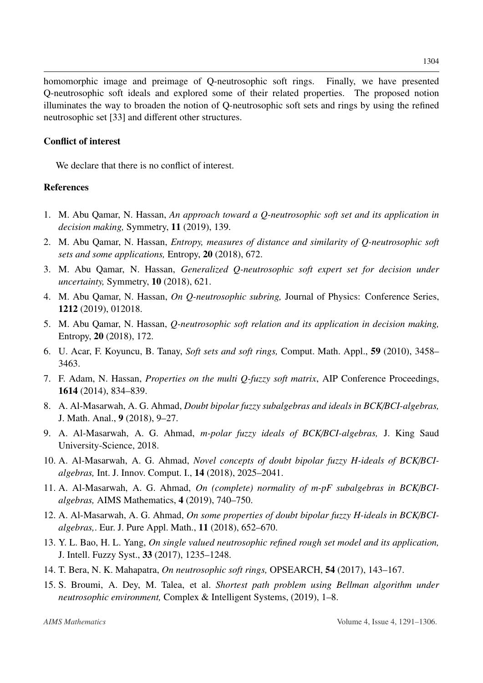homomorphic image and preimage of Q-neutrosophic soft rings. Finally, we have presented Q-neutrosophic soft ideals and explored some of their related properties. The proposed notion illuminates the way to broaden the notion of Q-neutrosophic soft sets and rings by using the refined neutrosophic set [\[33\]](#page-14-19) and different other structures.

## Conflict of interest

We declare that there is no conflict of interest.

## References

- <span id="page-13-3"></span>1. M. Abu Qamar, N. Hassan, *An approach toward a Q-neutrosophic soft set and its application in decision making,* Symmetry, 11 (2019), 139.
- <span id="page-13-5"></span>2. M. Abu Qamar, N. Hassan, *Entropy, measures of distance and similarity of Q-neutrosophic soft sets and some applications,* Entropy, 20 (2018), 672.
- <span id="page-13-6"></span>3. M. Abu Qamar, N. Hassan, *Generalized Q-neutrosophic soft expert set for decision under uncertainty,* Symmetry, 10 (2018), 621.
- <span id="page-13-10"></span>4. M. Abu Qamar, N. Hassan, *On Q-neutrosophic subring,* Journal of Physics: Conference Series, 1212 (2019), 012018.
- <span id="page-13-4"></span>5. M. Abu Qamar, N. Hassan, *Q-neutrosophic soft relation and its application in decision making,* Entropy, 20 (2018), 172.
- <span id="page-13-11"></span>6. U. Acar, F. Koyuncu, B. Tanay, *Soft sets and soft rings,* Comput. Math. Appl., 59 (2010), 3458– 3463.
- <span id="page-13-2"></span>7. F. Adam, N. Hassan, *Properties on the multi Q-fuzzy soft matrix*, AIP Conference Proceedings, 1614 (2014), 834–839.
- <span id="page-13-7"></span>8. A. Al-Masarwah, A. G. Ahmad, *Doubt bipolar fuzzy subalgebras and ideals in BCK*/*BCI-algebras,* J. Math. Anal., 9 (2018), 9–27.
- 9. A. Al-Masarwah, A. G. Ahmad, *m-polar fuzzy ideals of BCK*/*BCI-algebras,* J. King Saud University-Science, 2018.
- 10. A. Al-Masarwah, A. G. Ahmad, *Novel concepts of doubt bipolar fuzzy H-ideals of BCK*/*BCIalgebras,* Int. J. Innov. Comput. I., 14 (2018), 2025–2041.
- 11. A. Al-Masarwah, A. G. Ahmad, *On (complete) normality of m-pF subalgebras in BCK*/*BCIalgebras,* AIMS Mathematics, 4 (2019), 740–750.
- <span id="page-13-8"></span>12. A. Al-Masarwah, A. G. Ahmad, *On some properties of doubt bipolar fuzzy H-ideals in BCK*/*BCIalgebras,*. Eur. J. Pure Appl. Math., 11 (2018), 652–670.
- <span id="page-13-0"></span>13. Y. L. Bao, H. L. Yang, *On single valued neutrosophic refined rough set model and its application,* J. Intell. Fuzzy Syst., 33 (2017), 1235–1248.
- <span id="page-13-9"></span>14. T. Bera, N. K. Mahapatra, *On neutrosophic soft rings,* OPSEARCH, 54 (2017), 143–167.
- <span id="page-13-1"></span>15. S. Broumi, A. Dey, M. Talea, et al. *Shortest path problem using Bellman algorithm under neutrosophic environment,* Complex & Intelligent Systems, (2019), 1–8.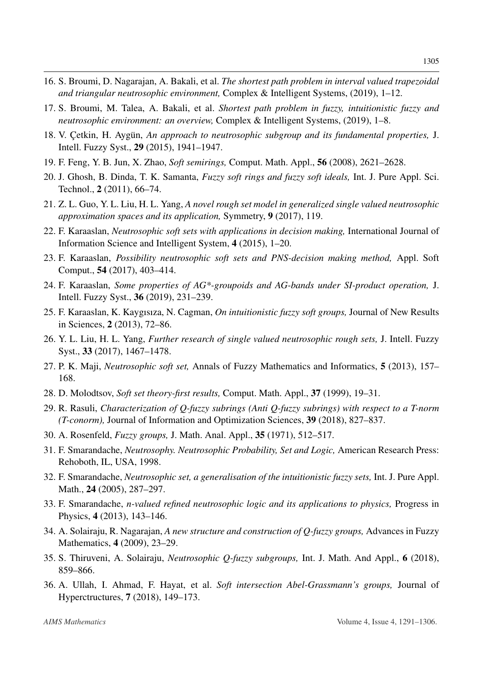- 16. S. Broumi, D. Nagarajan, A. Bakali, et al. *The shortest path problem in interval valued trapezoidal and triangular neutrosophic environment,* Complex & Intelligent Systems, (2019), 1–12.
- <span id="page-14-5"></span>17. S. Broumi, M. Talea, A. Bakali, et al. *Shortest path problem in fuzzy, intuitionistic fuzzy and neutrosophic environment: an overview,* Complex & Intelligent Systems, (2019), 1–8.
- <span id="page-14-14"></span>18. V. Cetkin, H. Aygün, An approach to neutrosophic subgroup and its fundamental properties, J. Intell. Fuzzy Syst., 29 (2015), 1941–1947.
- <span id="page-14-10"></span>19. F. Feng, Y. B. Jun, X. Zhao, *Soft semirings,* Comput. Math. Appl., 56 (2008), 2621–2628.
- <span id="page-14-18"></span>20. J. Ghosh, B. Dinda, T. K. Samanta, *Fuzzy soft rings and fuzzy soft ideals,* Int. J. Pure Appl. Sci. Technol., 2 (2011), 66–74.
- <span id="page-14-6"></span>21. Z. L. Guo, Y. L. Liu, H. L. Yang, *A novel rough set model in generalized single valued neutrosophic approximation spaces and its application,* Symmetry, 9 (2017), 119.
- <span id="page-14-4"></span>22. F. Karaaslan, *Neutrosophic soft sets with applications in decision making,* International Journal of Information Science and Intelligent System, 4 (2015), 1–20.
- <span id="page-14-7"></span>23. F. Karaaslan, *Possibility neutrosophic soft sets and PNS-decision making method,* Appl. Soft Comput., 54 (2017), 403–414.
- <span id="page-14-11"></span>24. F. Karaaslan, *Some properties of AG\*-groupoids and AG-bands under SI-product operation,* J. Intell. Fuzzy Syst., 36 (2019), 231–239.
- <span id="page-14-12"></span>25. F. Karaaslan, K. Kaygısıza, N. Cagman, *On intuitionistic fuzzy soft groups,* Journal of New Results in Sciences, 2 (2013), 72–86.
- <span id="page-14-8"></span>26. Y. L. Liu, H. L. Yang, *Further research of single valued neutrosophic rough sets,* J. Intell. Fuzzy Syst., 33 (2017), 1467–1478.
- <span id="page-14-3"></span>27. P. K. Maji, *Neutrosophic soft set,* Annals of Fuzzy Mathematics and Informatics, 5 (2013), 157– 168.
- <span id="page-14-2"></span>28. D. Molodtsov, *Soft set theory-first results,* Comput. Math. Appl., 37 (1999), 19–31.
- <span id="page-14-17"></span>29. R. Rasuli, *Characterization of Q-fuzzy subrings (Anti Q-fuzzy subrings) with respect to a T-norm (T-conorm),* Journal of Information and Optimization Sciences, 39 (2018), 827–837.
- <span id="page-14-9"></span>30. A. Rosenfeld, *Fuzzy groups,* J. Math. Anal. Appl., 35 (1971), 512–517.
- <span id="page-14-0"></span>31. F. Smarandache, *Neutrosophy. Neutrosophic Probability, Set and Logic,* American Research Press: Rehoboth, IL, USA, 1998.
- <span id="page-14-1"></span>32. F. Smarandache, *Neutrosophic set, a generalisation of the intuitionistic fuzzy sets,* Int. J. Pure Appl. Math., 24 (2005), 287–297.
- <span id="page-14-19"></span>33. F. Smarandache, *n-valued refined neutrosophic logic and its applications to physics,* Progress in Physics, 4 (2013), 143–146.
- <span id="page-14-15"></span>34. A. Solairaju, R. Nagarajan, *A new structure and construction of Q-fuzzy groups,* Advances in Fuzzy Mathematics, 4 (2009), 23–29.
- <span id="page-14-16"></span>35. S. Thiruveni, A. Solairaju, *Neutrosophic Q-fuzzy subgroups,* Int. J. Math. And Appl., 6 (2018), 859–866.
- <span id="page-14-13"></span>36. A. Ullah, I. Ahmad, F. Hayat, et al. *Soft intersection Abel-Grassmann's groups,* Journal of Hyperctructures, 7 (2018), 149–173.